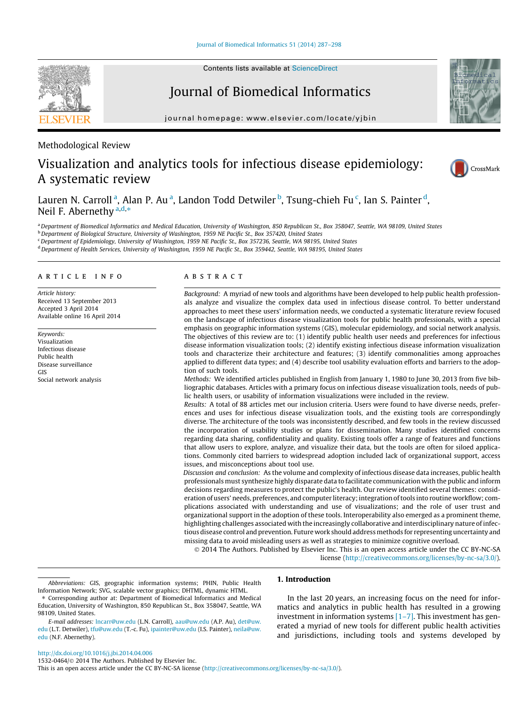Contents lists available at [ScienceDirect](http://www.sciencedirect.com/science/journal/15320464)

## Journal of Biomedical Informatics

journal homepage: [www.elsevier.com/locate/yjbin](http://www.elsevier.com/locate/yjbin)

Methodological Review

# Visualization and analytics tools for infectious disease epidemiology: A systematic review



Lauren N. Carroll<sup>a</sup>, Alan P. Au<sup>a</sup>, Landon Todd Detwiler <sup>b</sup>, Tsung-chieh Fu<sup>c</sup>, Ian S. Painter <sup>d</sup>, Neil F. Abernethy a,d,\*

a Department of Biomedical Informatics and Medical Education, University of Washington, 850 Republican St., Box 358047, Seattle, WA 98109, United States

<sup>b</sup> Department of Biological Structure, University of Washington, 1959 NE Pacific St., Box 357420, United States

<sup>c</sup> Department of Epidemiology, University of Washington, 1959 NE Pacific St., Box 357236, Seattle, WA 98195, United States

<sup>d</sup> Department of Health Services, University of Washington, 1959 NE Pacific St., Box 359442, Seattle, WA 98195, United States

## article info

Article history: Received 13 September 2013 Accepted 3 April 2014 Available online 16 April 2014

Keywords: Visualization Infectious disease Public health Disease surveillance GIS Social network analysis

## ABSTRACT

Background: A myriad of new tools and algorithms have been developed to help public health professionals analyze and visualize the complex data used in infectious disease control. To better understand approaches to meet these users' information needs, we conducted a systematic literature review focused on the landscape of infectious disease visualization tools for public health professionals, with a special emphasis on geographic information systems (GIS), molecular epidemiology, and social network analysis. The objectives of this review are to: (1) identify public health user needs and preferences for infectious disease information visualization tools; (2) identify existing infectious disease information visualization tools and characterize their architecture and features; (3) identify commonalities among approaches applied to different data types; and (4) describe tool usability evaluation efforts and barriers to the adoption of such tools.

Methods: We identified articles published in English from January 1, 1980 to June 30, 2013 from five bibliographic databases. Articles with a primary focus on infectious disease visualization tools, needs of public health users, or usability of information visualizations were included in the review.

Results: A total of 88 articles met our inclusion criteria. Users were found to have diverse needs, preferences and uses for infectious disease visualization tools, and the existing tools are correspondingly diverse. The architecture of the tools was inconsistently described, and few tools in the review discussed the incorporation of usability studies or plans for dissemination. Many studies identified concerns regarding data sharing, confidentiality and quality. Existing tools offer a range of features and functions that allow users to explore, analyze, and visualize their data, but the tools are often for siloed applications. Commonly cited barriers to widespread adoption included lack of organizational support, access issues, and misconceptions about tool use.

Discussion and conclusion: As the volume and complexity of infectious disease data increases, public health professionals must synthesize highly disparate data to facilitate communication with the public and inform decisions regarding measures to protect the public's health. Our review identified several themes: consideration of users' needs, preferences, and computer literacy; integration of tools into routine workflow; complications associated with understanding and use of visualizations; and the role of user trust and organizational support in the adoption of these tools. Interoperability also emerged as a prominent theme, highlighting challenges associated with the increasingly collaborative and interdisciplinary nature of infectious disease control and prevention. Future work should address methods for representing uncertainty and missing data to avoid misleading users as well as strategies to minimize cognitive overload.

© 2014 The Authors. Published by Elsevier Inc. This is an open access article under the CC BY-NC-SA license [\(http://creativecommons.org/licenses/by-nc-sa/3.0/](http://creativecommons.org/licenses/by-nc-sa/3.0/)).

1. Introduction

Abbreviations: GIS, geographic information systems; PHIN, Public Health Information Network; SVG, scalable vector graphics; DHTML, dynamic HTML.

## ⇑ Corresponding author at: Department of Biomedical Informatics and Medical Education, University of Washington, 850 Republican St., Box 358047, Seattle, WA 98109, United States.

E-mail addresses: [lncarr@uw.edu](mailto:lncarr@uw.edu) (L.N. Carroll), [aau@uw.edu](mailto:aau@uw.edu) (A.P. Au), [det@uw.](mailto:det@uw.edu) [edu](mailto:det@uw.edu) (L.T. Detwiler), [tfu@uw.edu](mailto:tfu@uw.edu) (T.-c. Fu), [ipainter@uw.edu](mailto:ipainter@uw.edu) (I.S. Painter), [neila@uw.](mailto:neila@uw.edu) [edu](mailto:neila@uw.edu) (N.F. Abernethy).

In the last 20 years, an increasing focus on the need for informatics and analytics in public health has resulted in a growing investment in information systems [\[1–7\].](#page-9-0) This investment has generated a myriad of new tools for different public health activities and jurisdictions, including tools and systems developed by

<http://dx.doi.org/10.1016/j.jbi.2014.04.006>

1532-0464/© 2014 The Authors. Published by Elsevier Inc.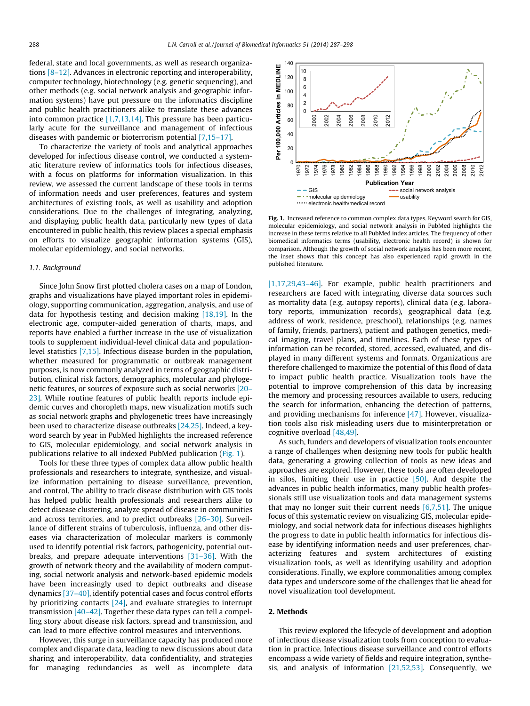<span id="page-1-0"></span>federal, state and local governments, as well as research organizations [\[8–12\].](#page-9-0) Advances in electronic reporting and interoperability, computer technology, biotechnology (e.g. genetic sequencing), and other methods (e.g. social network analysis and geographic information systems) have put pressure on the informatics discipline and public health practitioners alike to translate these advances into common practice  $[1,7,13,14]$ . This pressure has been particularly acute for the surveillance and management of infectious diseases with pandemic or bioterrorism potential [\[7,15–17\].](#page-9-0)

To characterize the variety of tools and analytical approaches developed for infectious disease control, we conducted a systematic literature review of informatics tools for infectious diseases, with a focus on platforms for information visualization. In this review, we assessed the current landscape of these tools in terms of information needs and user preferences, features and system architectures of existing tools, as well as usability and adoption considerations. Due to the challenges of integrating, analyzing, and displaying public health data, particularly new types of data encountered in public health, this review places a special emphasis on efforts to visualize geographic information systems (GIS), molecular epidemiology, and social networks.

## 1.1. Background

Since John Snow first plotted cholera cases on a map of London, graphs and visualizations have played important roles in epidemiology, supporting communication, aggregation, analysis, and use of data for hypothesis testing and decision making  $[18,19]$ . In the electronic age, computer-aided generation of charts, maps, and reports have enabled a further increase in the use of visualization tools to supplement individual-level clinical data and populationlevel statistics [\[7,15\]](#page-9-0). Infectious disease burden in the population, whether measured for programmatic or outbreak management purposes, is now commonly analyzed in terms of geographic distribution, clinical risk factors, demographics, molecular and phylogenetic features, or sources of exposure such as social networks [\[20–](#page-10-0) [23\]](#page-10-0). While routine features of public health reports include epidemic curves and choropleth maps, new visualization motifs such as social network graphs and phylogenetic trees have increasingly been used to characterize disease outbreaks [\[24,25\].](#page-10-0) Indeed, a keyword search by year in PubMed highlights the increased reference to GIS, molecular epidemiology, and social network analysis in publications relative to all indexed PubMed publication (Fig. 1).

Tools for these three types of complex data allow public health professionals and researchers to integrate, synthesize, and visualize information pertaining to disease surveillance, prevention, and control. The ability to track disease distribution with GIS tools has helped public health professionals and researchers alike to detect disease clustering, analyze spread of disease in communities and across territories, and to predict outbreaks [\[26–30\].](#page-10-0) Surveillance of different strains of tuberculosis, influenza, and other diseases via characterization of molecular markers is commonly used to identify potential risk factors, pathogenicity, potential outbreaks, and prepare adequate interventions [\[31–36\]](#page-10-0). With the growth of network theory and the availability of modern computing, social network analysis and network-based epidemic models have been increasingly used to depict outbreaks and disease dynamics [\[37–40\]](#page-10-0), identify potential cases and focus control efforts by prioritizing contacts [\[24\]](#page-10-0), and evaluate strategies to interrupt transmission [\[40–42\]](#page-10-0). Together these data types can tell a compelling story about disease risk factors, spread and transmission, and can lead to more effective control measures and interventions.

However, this surge in surveillance capacity has produced more complex and disparate data, leading to new discussions about data sharing and interoperability, data confidentiality, and strategies for managing redundancies as well as incomplete data



Fig. 1. Increased reference to common complex data types. Keyword search for GIS, molecular epidemiology, and social network analysis in PubMed highlights the increase in these terms relative to all PubMed index articles. The frequency of other biomedical informatics terms (usability, electronic health record) is shown for comparison. Although the growth of social network analysis has been more recent, the inset shows that this concept has also experienced rapid growth in the published literature.

[1,17,29,43-46]. For example, public health practitioners and researchers are faced with integrating diverse data sources such as mortality data (e.g. autopsy reports), clinical data (e.g. laboratory reports, immunization records), geographical data (e.g. address of work, residence, preschool), relationships (e.g. names of family, friends, partners), patient and pathogen genetics, medical imaging, travel plans, and timelines. Each of these types of information can be recorded, stored, accessed, evaluated, and displayed in many different systems and formats. Organizations are therefore challenged to maximize the potential of this flood of data to impact public health practice. Visualization tools have the potential to improve comprehension of this data by increasing the memory and processing resources available to users, reducing the search for information, enhancing the detection of patterns, and providing mechanisms for inference [\[47\]](#page-10-0). However, visualization tools also risk misleading users due to misinterpretation or cognitive overload [\[48,49\]](#page-10-0).

As such, funders and developers of visualization tools encounter a range of challenges when designing new tools for public health data, generating a growing collection of tools as new ideas and approaches are explored. However, these tools are often developed in silos, limiting their use in practice [\[50\].](#page-10-0) And despite the advances in public health informatics, many public health professionals still use visualization tools and data management systems that may no longer suit their current needs [\[6,7,51\]](#page-9-0). The unique focus of this systematic review on visualizing GIS, molecular epidemiology, and social network data for infectious diseases highlights the progress to date in public health informatics for infectious disease by identifying information needs and user preferences, characterizing features and system architectures of existing visualization tools, as well as identifying usability and adoption considerations. Finally, we explore commonalities among complex data types and underscore some of the challenges that lie ahead for novel visualization tool development.

## 2. Methods

This review explored the lifecycle of development and adoption of infectious disease visualization tools from conception to evaluation in practice. Infectious disease surveillance and control efforts encompass a wide variety of fields and require integration, synthesis, and analysis of information  $[21,52,53]$ . Consequently, we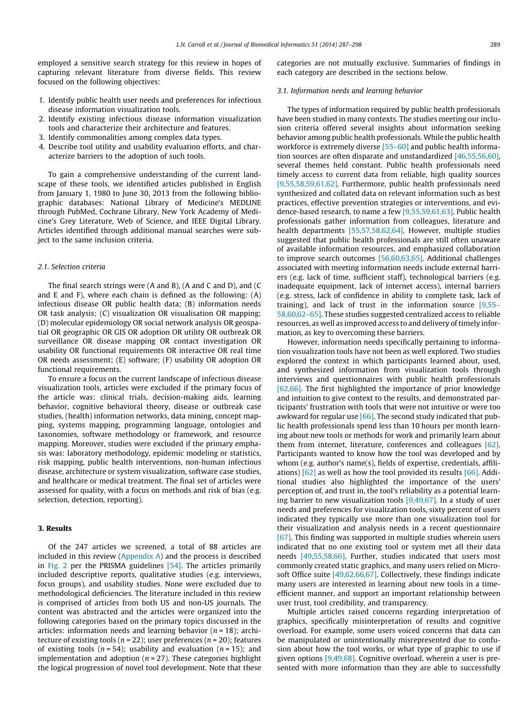<span id="page-2-0"></span>employed a sensitive search strategy for this review in hopes of capturing relevant literature from diverse fields. This review focused on the following objectives:

- 1. Identify public health user needs and preferences for infectious disease information visualization tools.
- 2. Identify existing infectious disease information visualization tools and characterize their architecture and features.
- 3. Identify commonalities among complex data types.
- 4. Describe tool utility and usability evaluation efforts, and characterize barriers to the adoption of such tools.

To gain a comprehensive understanding of the current landscape of these tools, we identified articles published in English from January 1, 1980 to June 30, 2013 from the following bibliographic databases: National Library of Medicine's MEDLINE through PubMed, Cochrane Library, New York Academy of Medicine's Grey Literature, Web of Science, and IEEE Digital Library. Articles identified through additional manual searches were subject to the same inclusion criteria.

## 2.1. Selection criteria

The final search strings were (A and B), (A and C and D), and (C and E and F), where each chain is defined as the following: (A) infectious disease OR public health data; (B) information needs OR task analysis; (C) visualization OR visualisation OR mapping; (D) molecular epidemiology OR social network analysis OR geospatial OR geographic OR GIS OR adoption OR utility OR outbreak OR surveillance OR disease mapping OR contact investigation OR usability OR functional requirements OR interactive OR real time OR needs assessment; (E) software; (F) usability OR adoption OR functional requirements.

To ensure a focus on the current landscape of infectious disease visualization tools, articles were excluded if the primary focus of the article was: clinical trials, decision-making aids, learning behavior, cognitive behavioral theory, disease or outbreak case studies, (health) information networks, data mining, concept mapping, systems mapping, programming language, ontologies and taxonomies, software methodology or framework, and resource mapping. Moreover, studies were excluded if the primary emphasis was: laboratory methodology, epidemic modeling or statistics, risk mapping, public health interventions, non-human infectious disease, architecture or system visualization, software case studies, and healthcare or medical treatment. The final set of articles were assessed for quality, with a focus on methods and risk of bias (e.g. selection, detection, reporting).

## 3. Results

Of the 247 articles we screened, a total of 88 articles are included in this review (Appendix A) and the process is described in [Fig. 2](#page-3-0) per the PRISMA guidelines [\[54\]](#page-10-0). The articles primarily included descriptive reports, qualitative studies (e.g. interviews, focus groups), and usability studies. None were excluded due to methodological deficiencies. The literature included in this review is comprised of articles from both US and non-US journals. The content was abstracted and the articles were organized into the following categories based on the primary topics discussed in the articles: information needs and learning behavior ( $n = 18$ ); architecture of existing tools ( $n = 22$ ); user preferences ( $n = 20$ ); features of existing tools ( $n = 54$ ); usability and evaluation ( $n = 15$ ); and implementation and adoption ( $n = 27$ ). These categories highlight the logical progression of novel tool development. Note that these categories are not mutually exclusive. Summaries of findings in each category are described in the sections below.

#### 3.1. Information needs and learning behavior

The types of information required by public health professionals have been studied in many contexts. The studies meeting our inclusion criteria offered several insights about information seeking behavior among public health professionals. While the public health workforce is extremely diverse [\[55–60\]](#page-10-0) and public health information sources are often disparate and unstandardized [\[46,55,56,60\],](#page-10-0) several themes held constant. Public health professionals need timely access to current data from reliable, high quality sources [\[9,55,58,59,61,62\]](#page-9-0). Furthermore, public health professionals need synthesized and collated data on relevant information such as best practices, effective prevention strategies or interventions, and evidence-based research, to name a few [\[9,55,59,61,63\]](#page-9-0). Public health professionals gather information from colleagues, literature and health departments [\[55,57,58,62,64\]](#page-10-0). However, multiple studies suggested that public health professionals are still often unaware of available information resources, and emphasized collaboration to improve search outcomes [\[56,60,63,65\].](#page-10-0) Additional challenges associated with meeting information needs include external barriers (e.g. lack of time, sufficient staff), technological barriers (e.g. inadequate equipment, lack of internet access), internal barriers (e.g. stress, lack of confidence in ability to complete task, lack of training), and lack of trust in the information source  $[9,55-$ [58,60,62–65\]](#page-9-0). These studies suggested centralized access to reliable resources, as well as improved access to and delivery of timely information, as key to overcoming these barriers.

However, information needs specifically pertaining to information visualization tools have not been as well explored. Two studies explored the context in which participants learned about, used, and synthesized information from visualization tools through interviews and questionnaires with public health professionals [\[62,66\]](#page-10-0). The first highlighted the importance of prior knowledge and intuition to give context to the results, and demonstrated participants' frustration with tools that were not intuitive or were too awkward for regular use  $[66]$ . The second study indicated that public health professionals spend less than 10 hours per month learning about new tools or methods for work and primarily learn about them from internet, literature, conferences and colleagues [\[62\].](#page-10-0) Participants wanted to know how the tool was developed and by whom (e.g. author's name(s), fields of expertise, credentials, affiliations)  $[62]$  as well as how the tool provided its results  $[66]$ . Additional studies also highlighted the importance of the users' perception of, and trust in, the tool's reliability as a potential learning barrier to new visualization tools [\[9,49,67\]](#page-9-0). In a study of user needs and preferences for visualization tools, sixty percent of users indicated they typically use more than one visualization tool for their visualization and analysis needs in a recent questionnaire [\[67\]](#page-10-0). This finding was supported in multiple studies wherein users indicated that no one existing tool or system met all their data needs [\[49,55,58,66\].](#page-10-0) Further, studies indicated that users most commonly created static graphics, and many users relied on Microsoft Office suite [\[49,62,66,67\]](#page-10-0). Collectively, these findings indicate many users are interested in learning about new tools in a timeefficient manner, and support an important relationship between user trust, tool credibility, and transparency.

Multiple articles raised concerns regarding interpretation of graphics, specifically misinterpretation of results and cognitive overload. For example, some users voiced concerns that data can be manipulated or unintentionally misrepresented due to confusion about how the tool works, or what type of graphic to use if given options [\[9,49,68\].](#page-9-0) Cognitive overload, wherein a user is presented with more information than they are able to successfully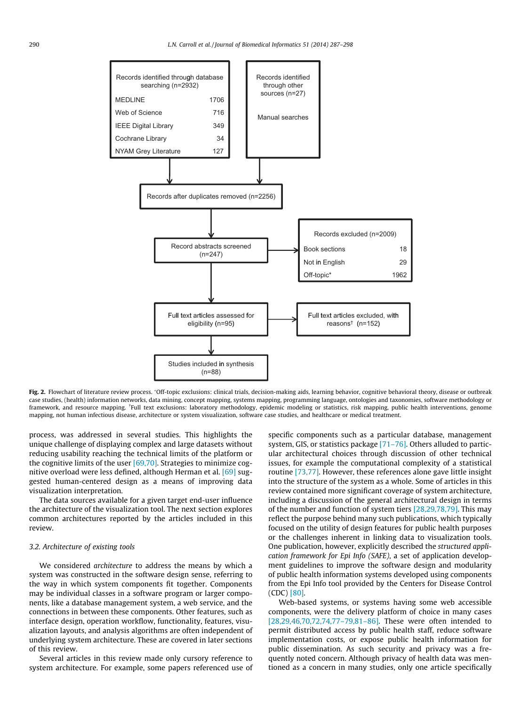<span id="page-3-0"></span>

Fig. 2. Flowchart of literature review process. \*Off-topic exclusions: clinical trials, decision-making aids, learning behavior, cognitive behavioral theory, disease or outbreak case studies, (health) information networks, data mining, concept mapping, systems mapping, programming language, ontologies and taxonomies, software methodology or framework, and resource mapping. <sup>†</sup>Full text exclusions: laboratory methodology, epidemic modeling or statistics, risk mapping, public health interventions, genome mapping, not human infectious disease, architecture or system visualization, software case studies, and healthcare or medical treatment.

process, was addressed in several studies. This highlights the unique challenge of displaying complex and large datasets without reducing usability reaching the technical limits of the platform or the cognitive limits of the user [\[69,70\].](#page-10-0) Strategies to minimize cognitive overload were less defined, although Herman et al. [\[69\]](#page-10-0) suggested human-centered design as a means of improving data visualization interpretation.

The data sources available for a given target end-user influence the architecture of the visualization tool. The next section explores common architectures reported by the articles included in this review.

### 3.2. Architecture of existing tools

We considered architecture to address the means by which a system was constructed in the software design sense, referring to the way in which system components fit together. Components may be individual classes in a software program or larger components, like a database management system, a web service, and the connections in between these components. Other features, such as interface design, operation workflow, functionality, features, visualization layouts, and analysis algorithms are often independent of underlying system architecture. These are covered in later sections of this review.

Several articles in this review made only cursory reference to system architecture. For example, some papers referenced use of specific components such as a particular database, management system, GIS, or statistics package [\[71–76\]](#page-10-0). Others alluded to particular architectural choices through discussion of other technical issues, for example the computational complexity of a statistical routine [\[73,77\]](#page-10-0). However, these references alone gave little insight into the structure of the system as a whole. Some of articles in this review contained more significant coverage of system architecture, including a discussion of the general architectural design in terms of the number and function of system tiers [\[28,29,78,79\]](#page-10-0). This may reflect the purpose behind many such publications, which typically focused on the utility of design features for public health purposes or the challenges inherent in linking data to visualization tools. One publication, however, explicitly described the structured application framework for Epi Info (SAFE), a set of application development guidelines to improve the software design and modularity of public health information systems developed using components from the Epi Info tool provided by the Centers for Disease Control (CDC) [\[80\].](#page-10-0)

Web-based systems, or systems having some web accessible components, were the delivery platform of choice in many cases [\[28,29,46,70,72,74,77–79,81–86\]](#page-10-0). These were often intended to permit distributed access by public health staff, reduce software implementation costs, or expose public health information for public dissemination. As such security and privacy was a frequently noted concern. Although privacy of health data was mentioned as a concern in many studies, only one article specifically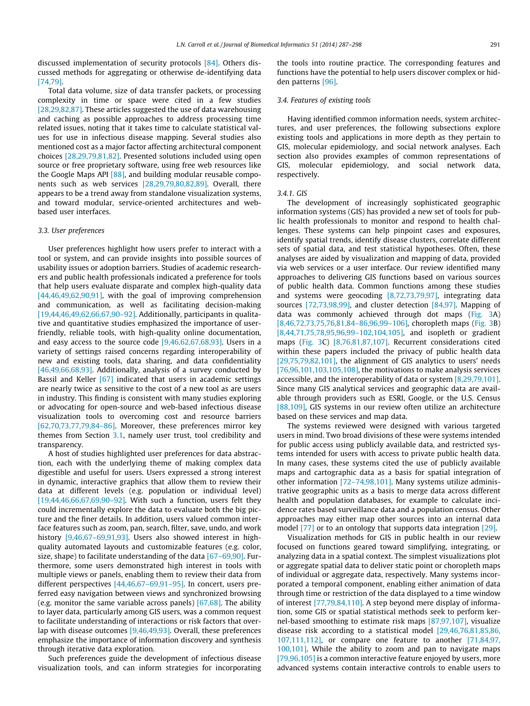discussed implementation of security protocols [\[84\]](#page-10-0). Others discussed methods for aggregating or otherwise de-identifying data [\[74,79\]](#page-10-0).

Total data volume, size of data transfer packets, or processing complexity in time or space were cited in a few studies [\[28,29,82,87\]](#page-10-0). These articles suggested the use of data warehousing and caching as possible approaches to address processing time related issues, noting that it takes time to calculate statistical values for use in infectious disease mapping. Several studies also mentioned cost as a major factor affecting architectural component choices [\[28,29,79,81,82\]](#page-10-0). Presented solutions included using open source or free proprietary software, using free web resources like the Google Maps API [\[88\]](#page-10-0), and building modular reusable components such as web services [\[28,29,79,80,82,89\].](#page-10-0) Overall, there appears to be a trend away from standalone visualization systems, and toward modular, service-oriented architectures and webbased user interfaces.

#### 3.3. User preferences

User preferences highlight how users prefer to interact with a tool or system, and can provide insights into possible sources of usability issues or adoption barriers. Studies of academic researchers and public health professionals indicated a preference for tools that help users evaluate disparate and complex high-quality data  $[44,46,49,62,90,91]$ , with the goal of improving comprehension and communication, as well as facilitating decision-making [19,44,46,49,62,66,67,90-92]. Additionally, participants in qualitative and quantitative studies emphasized the importance of userfriendly, reliable tools, with high-quality online documentation, and easy access to the source code  $[9,46,62,67,68,93]$ . Users in a variety of settings raised concerns regarding interoperability of new and existing tools, data sharing, and data confidentiality [\[46,49,66,68,93\].](#page-10-0) Additionally, analysis of a survey conducted by Bassil and Keller [\[67\]](#page-10-0) indicated that users in academic settings are nearly twice as sensitive to the cost of a new tool as are users in industry. This finding is consistent with many studies exploring or advocating for open-source and web-based infectious disease visualization tools to overcoming cost and resource barriers [\[62,70,73,77,79,84–86\]](#page-10-0). Moreover, these preferences mirror key themes from Section [3.1](#page-2-0), namely user trust, tool credibility and transparency.

A host of studies highlighted user preferences for data abstraction, each with the underlying theme of making complex data digestible and useful for users. Users expressed a strong interest in dynamic, interactive graphics that allow them to review their data at different levels (e.g. population or individual level) [\[19,44,46,66,67,69,90–92\].](#page-9-0) With such a function, users felt they could incrementally explore the data to evaluate both the big picture and the finer details. In addition, users valued common interface features such as zoom, pan, search, filter, save, undo, and work history [\[9,46,67–69,91,93\]](#page-9-0). Users also showed interest in highquality automated layouts and customizable features (e.g. color, size, shape) to facilitate understanding of the data [\[67–69,90\].](#page-10-0) Furthermore, some users demonstrated high interest in tools with multiple views or panels, enabling them to review their data from different perspectives [\[44,46,67–69,91–95\]](#page-10-0). In concert, users preferred easy navigation between views and synchronized browsing (e.g. monitor the same variable across panels) [\[67,68\]](#page-10-0). The ability to layer data, particularly among GIS users, was a common request to facilitate understanding of interactions or risk factors that overlap with disease outcomes [\[9,46,49,93\].](#page-9-0) Overall, these preferences emphasize the importance of information discovery and synthesis through iterative data exploration.

Such preferences guide the development of infectious disease visualization tools, and can inform strategies for incorporating the tools into routine practice. The corresponding features and functions have the potential to help users discover complex or hidden patterns [\[96\].](#page-11-0)

### 3.4. Features of existing tools

Having identified common information needs, system architectures, and user preferences, the following subsections explore existing tools and applications in more depth as they pertain to GIS, molecular epidemiology, and social network analyses. Each section also provides examples of common representations of GIS, molecular epidemiology, and social network data, respectively.

#### 3.4.1. GIS

The development of increasingly sophisticated geographic information systems (GIS) has provided a new set of tools for public health professionals to monitor and respond to health challenges. These systems can help pinpoint cases and exposures, identify spatial trends, identify disease clusters, correlate different sets of spatial data, and test statistical hypotheses. Often, these analyses are aided by visualization and mapping of data, provided via web services or a user interface. Our review identified many approaches to delivering GIS functions based on various sources of public health data. Common functions among these studies and systems were geocoding [\[8,72,73,79,97\],](#page-9-0) integrating data sources [\[72,73,98,99\]](#page-10-0), and cluster detection [\[84,97\]](#page-10-0). Mapping of data was commonly achieved through dot maps ([Fig. 3](#page-5-0)A) [\[8,46,72,73,75,76,81,84–86,96,99–106\]](#page-9-0), choropleth maps ([Fig. 3B](#page-5-0)) [\[8,44,71,75,78,95,96,99–102,104,105\]](#page-9-0), and isopleth or gradient maps ([Fig. 3](#page-5-0)C) [\[8,76,81,87,107\].](#page-9-0) Recurrent considerations cited within these papers included the privacy of public health data [\[29,75,79,82,101\]](#page-10-0), the alignment of GIS analytics to users' needs [\[76,96,101,103,105,108\],](#page-10-0) the motivations to make analysis services accessible, and the interoperability of data or system [\[8,29,79,101\].](#page-9-0) Since many GIS analytical services and geographic data are available through providers such as ESRI, Google, or the U.S. Census [\[88,109\]](#page-10-0), GIS systems in our review often utilize an architecture based on these services and map data.

The systems reviewed were designed with various targeted users in mind. Two broad divisions of these were systems intended for public access using publicly available data, and restricted systems intended for users with access to private public health data. In many cases, these systems cited the use of publicly available maps and cartographic data as a basis for spatial integration of other information [\[72–74,98,101\].](#page-10-0) Many systems utilize administrative geographic units as a basis to merge data across different health and population databases, for example to calculate incidence rates based surveillance data and a population census. Other approaches may either map other sources into an internal data model [\[77\]](#page-10-0) or to an ontology that supports data integration [\[29\]](#page-10-0).

Visualization methods for GIS in public health in our review focused on functions geared toward simplifying, integrating, or analyzing data in a spatial context. The simplest visualizations plot or aggregate spatial data to deliver static point or choropleth maps of individual or aggregate data, respectively. Many systems incorporated a temporal component, enabling either animation of data through time or restriction of the data displayed to a time window of interest [\[77,79,84,110\]](#page-10-0). A step beyond mere display of information, some GIS or spatial statistical methods seek to perform kernel-based smoothing to estimate risk maps [\[87,97,107\],](#page-10-0) visualize disease risk according to a statistical model [\[29,46,76,81,85,86,](#page-10-0) [107,111,112\]](#page-10-0), or compare one feature to another [\[71,84,97,](#page-10-0) [100,101\].](#page-10-0) While the ability to zoom and pan to navigate maps [\[79,96,105\]](#page-10-0) is a common interactive feature enjoyed by users, more advanced systems contain interactive controls to enable users to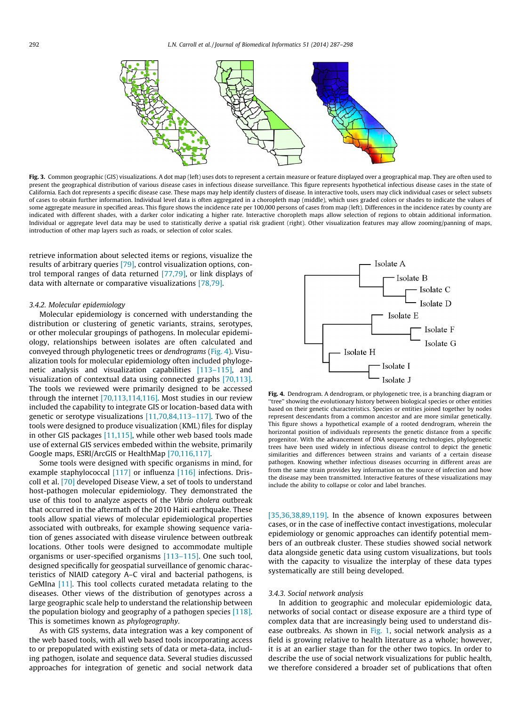<span id="page-5-0"></span>

Fig. 3. Common geographic (GIS) visualizations. A dot map (left) uses dots to represent a certain measure or feature displayed over a geographical map. They are often used to present the geographical distribution of various disease cases in infectious disease surveillance. This figure represents hypothetical infectious disease cases in the state of California. Each dot represents a specific disease case. These maps may help identify clusters of disease. In interactive tools, users may click individual cases or select subsets of cases to obtain further information. Individual level data is often aggregated in a choropleth map (middle), which uses graded colors or shades to indicate the values of some aggregate measure in specified areas. This figure shows the incidence rate per 100,000 persons of cases from map (left). Differences in the incidence rates by county are indicated with different shades, with a darker color indicating a higher rate. Interactive choropleth maps allow selection of regions to obtain additional information. Individual or aggregate level data may be used to statistically derive a spatial risk gradient (right). Other visualization features may allow zooming/panning of maps, introduction of other map layers such as roads, or selection of color scales.

retrieve information about selected items or regions, visualize the results of arbitrary queries [\[79\],](#page-10-0) control visualization options, control temporal ranges of data returned [\[77,79\],](#page-10-0) or link displays of data with alternate or comparative visualizations [\[78,79\].](#page-10-0)

#### 3.4.2. Molecular epidemiology

Molecular epidemiology is concerned with understanding the distribution or clustering of genetic variants, strains, serotypes, or other molecular groupings of pathogens. In molecular epidemiology, relationships between isolates are often calculated and conveyed through phylogenetic trees or dendrograms (Fig. 4). Visualization tools for molecular epidemiology often included phylogenetic analysis and visualization capabilities [\[113–115\],](#page-11-0) and visualization of contextual data using connected graphs [\[70,113\].](#page-10-0) The tools we reviewed were primarily designed to be accessed through the internet [\[70,113,114,116\]](#page-10-0). Most studies in our review included the capability to integrate GIS or location-based data with genetic or serotype visualizations [\[11,70,84,113–117\]](#page-9-0). Two of the tools were designed to produce visualization (KML) files for display in other GIS packages [\[11,115\],](#page-9-0) while other web based tools made use of external GIS services embeded within the website, primarily Google maps, ESRI/ArcGIS or HealthMap [\[70,116,117\]](#page-10-0).

Some tools were designed with specific organisms in mind, for example staphylococcal [\[117\]](#page-11-0) or influenza [\[116\]](#page-11-0) infections. Driscoll et al. [\[70\]](#page-10-0) developed Disease View, a set of tools to understand host-pathogen molecular epidemiology. They demonstrated the use of this tool to analyze aspects of the Vibrio cholera outbreak that occurred in the aftermath of the 2010 Haiti earthquake. These tools allow spatial views of molecular epidemiological properties associated with outbreaks, for example showing sequence variation of genes associated with disease virulence between outbreak locations. Other tools were designed to accommodate multiple organisms or user-specified organisms [\[113–115\]](#page-11-0). One such tool, designed specifically for geospatial surveillance of genomic characteristics of NIAID category A–C viral and bacterial pathogens, is GeMIna [\[11\]](#page-9-0). This tool collects curated metadata relating to the diseases. Other views of the distribution of genotypes across a large geographic scale help to understand the relationship between the population biology and geography of a pathogen species [\[118\].](#page-11-0) This is sometimes known as phylogeography.

As with GIS systems, data integration was a key component of the web based tools, with all web based tools incorporating access to or prepopulated with existing sets of data or meta-data, including pathogen, isolate and sequence data. Several studies discussed approaches for integration of genetic and social network data



Fig. 4. Dendrogram. A dendrogram, or phylogenetic tree, is a branching diagram or ''tree'' showing the evolutionary history between biological species or other entities based on their genetic characteristics. Species or entities joined together by nodes represent descendants from a common ancestor and are more similar genetically. This figure shows a hypothetical example of a rooted dendrogram, wherein the horizontal position of individuals represents the genetic distance from a specific progenitor. With the advancement of DNA sequencing technologies, phylogenetic trees have been used widely in infectious disease control to depict the genetic similarities and differences between strains and variants of a certain disease pathogen. Knowing whether infectious diseases occurring in different areas are from the same strain provides key information on the source of infection and how the disease may been transmitted. Interactive features of these visualizations may include the ability to collapse or color and label branches.

[\[35,36,38,89,119\].](#page-10-0) In the absence of known exposures between cases, or in the case of ineffective contact investigations, molecular epidemiology or genomic approaches can identify potential members of an outbreak cluster. These studies showed social network data alongside genetic data using custom visualizations, but tools with the capacity to visualize the interplay of these data types systematically are still being developed.

## 3.4.3. Social network analysis

In addition to geographic and molecular epidemiologic data, networks of social contact or disease exposure are a third type of complex data that are increasingly being used to understand dis-ease outbreaks. As shown in [Fig. 1,](#page-1-0) social network analysis as a field is growing relative to health literature as a whole; however, it is at an earlier stage than for the other two topics. In order to describe the use of social network visualizations for public health, we therefore considered a broader set of publications that often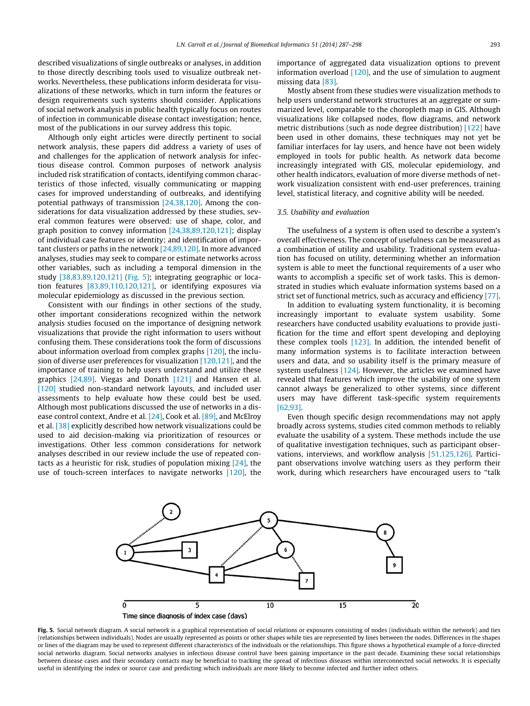described visualizations of single outbreaks or analyses, in addition to those directly describing tools used to visualize outbreak networks. Nevertheless, these publications inform desiderata for visualizations of these networks, which in turn inform the features or design requirements such systems should consider. Applications of social network analysis in public health typically focus on routes of infection in communicable disease contact investigation; hence, most of the publications in our survey address this topic.

Although only eight articles were directly pertinent to social network analysis, these papers did address a variety of uses of and challenges for the application of network analysis for infectious disease control. Common purposes of network analysis included risk stratification of contacts, identifying common characteristics of those infected, visually communicating or mapping cases for improved understanding of outbreaks, and identifying potential pathways of transmission [\[24,38,120\]](#page-10-0). Among the considerations for data visualization addressed by these studies, several common features were observed: use of shape, color, and graph position to convey information [\[24,38,89,120,121\]](#page-10-0); display of individual case features or identity; and identification of important clusters or paths in the network [\[24,89,120\]](#page-10-0). In more advanced analyses, studies may seek to compare or estimate networks across other variables, such as including a temporal dimension in the study [\[38,83,89,120,121\]](#page-10-0) (Fig. 5); integrating geographic or location features [\[83,89,110,120,121\]](#page-10-0), or identifying exposures via molecular epidemiology as discussed in the previous section.

Consistent with our findings in other sections of the study, other important considerations recognized within the network analysis studies focused on the importance of designing network visualizations that provide the right information to users without confusing them. These considerations took the form of discussions about information overload from complex graphs [\[120\],](#page-11-0) the inclusion of diverse user preferences for visualization [\[120,121\]](#page-11-0), and the importance of training to help users understand and utilize these graphics [\[24,89\]](#page-10-0). Viegas and Donath [\[121\]](#page-11-0) and Hansen et al. [\[120\]](#page-11-0) studied non-standard network layouts, and included user assessments to help evaluate how these could best be used. Although most publications discussed the use of networks in a disease control context, Andre et al. [\[24\]](#page-10-0), Cook et al. [\[89\],](#page-10-0) and McElroy et al. [\[38\]](#page-10-0) explicitly described how network visualizations could be used to aid decision-making via prioritization of resources or investigations. Other less common considerations for network analyses described in our review include the use of repeated contacts as a heuristic for risk, studies of population mixing [\[24\],](#page-10-0) the use of touch-screen interfaces to navigate networks [\[120\]](#page-11-0), the importance of aggregated data visualization options to prevent information overload [\[120\],](#page-11-0) and the use of simulation to augment missing data [\[83\].](#page-10-0)

Mostly absent from these studies were visualization methods to help users understand network structures at an aggregate or summarized level, comparable to the choropleth map in GIS. Although visualizations like collapsed nodes, flow diagrams, and network metric distributions (such as node degree distribution) [\[122\]](#page-11-0) have been used in other domains, these techniques may not yet be familiar interfaces for lay users, and hence have not been widely employed in tools for public health. As network data become increasingly integrated with GIS, molecular epidemiology, and other health indicators, evaluation of more diverse methods of network visualization consistent with end-user preferences, training level, statistical literacy, and cognitive ability will be needed.

#### 3.5. Usability and evaluation

The usefulness of a system is often used to describe a system's overall effectiveness. The concept of usefulness can be measured as a combination of utility and usability. Traditional system evaluation has focused on utility, determining whether an information system is able to meet the functional requirements of a user who wants to accomplish a specific set of work tasks. This is demonstrated in studies which evaluate information systems based on a strict set of functional metrics, such as accuracy and efficiency [\[77\].](#page-10-0)

In addition to evaluating system functionality, it is becoming increasingly important to evaluate system usability. Some researchers have conducted usability evaluations to provide justification for the time and effort spent developing and deploying these complex tools  $[123]$ . In addition, the intended benefit of many information systems is to facilitate interaction between users and data, and so usability itself is the primary measure of system usefulness [\[124\]](#page-11-0). However, the articles we examined have revealed that features which improve the usability of one system cannot always be generalized to other systems, since different users may have different task-specific system requirements [\[62,93\]](#page-10-0).

Even though specific design recommendations may not apply broadly across systems, studies cited common methods to reliably evaluate the usability of a system. These methods include the use of qualitative investigation techniques, such as participant observations, interviews, and workflow analysis [\[51,125,126\]](#page-10-0). Participant observations involve watching users as they perform their work, during which researchers have encouraged users to ''talk



Fig. 5. Social network diagram. A social network is a graphical representation of social relations or exposures consisting of nodes (individuals within the network) and ties (relationships between individuals). Nodes are usually represented as points or other shapes while ties are represented by lines between the nodes. Differences in the shapes or lines of the diagram may be used to represent different characteristics of the individuals or the relationships. This figure shows a hypothetical example of a force-directed social networks diagram. Social networks analyses in infectious disease control have been gaining importance in the past decade. Examining these social relationships between disease cases and their secondary contacts may be beneficial to tracking the spread of infectious diseases within interconnected social networks. It is especially useful in identifying the index or source case and predicting which individuals are more likely to become infected and further infect others.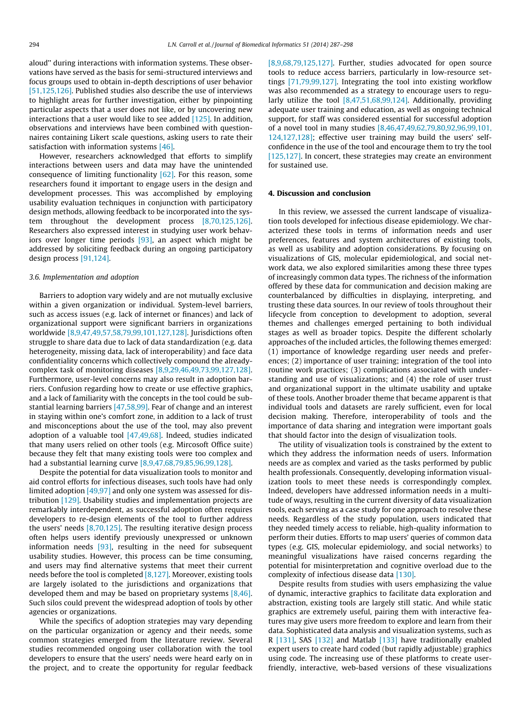aloud'' during interactions with information systems. These observations have served as the basis for semi-structured interviews and focus groups used to obtain in-depth descriptions of user behavior [\[51,125,126\].](#page-10-0) Published studies also describe the use of interviews to highlight areas for further investigation, either by pinpointing particular aspects that a user does not like, or by uncovering new interactions that a user would like to see added  $[125]$ . In addition, observations and interviews have been combined with questionnaires containing Likert scale questions, asking users to rate their satisfaction with information systems [\[46\].](#page-10-0)

However, researchers acknowledged that efforts to simplify interactions between users and data may have the unintended consequence of limiting functionality  $[62]$ . For this reason, some researchers found it important to engage users in the design and development processes. This was accomplished by employing usability evaluation techniques in conjunction with participatory design methods, allowing feedback to be incorporated into the system throughout the development process [\[8,70,125,126\].](#page-9-0) Researchers also expressed interest in studying user work behaviors over longer time periods [\[93\]](#page-11-0), an aspect which might be addressed by soliciting feedback during an ongoing participatory design process [\[91,124\].](#page-10-0)

#### 3.6. Implementation and adoption

Barriers to adoption vary widely and are not mutually exclusive within a given organization or individual. System-level barriers, such as access issues (e.g. lack of internet or finances) and lack of organizational support were significant barriers in organizations worldwide [\[8,9,47,49,57,58,79,99,101,127,128\]](#page-9-0). Jurisdictions often struggle to share data due to lack of data standardization (e.g. data heterogeneity, missing data, lack of interoperability) and face data confidentiality concerns which collectively compound the alreadycomplex task of monitoring diseases [\[8,9,29,46,49,73,99,127,128\].](#page-9-0) Furthermore, user-level concerns may also result in adoption barriers. Confusion regarding how to create or use effective graphics, and a lack of familiarity with the concepts in the tool could be substantial learning barriers [\[47,58,99\]](#page-10-0). Fear of change and an interest in staying within one's comfort zone, in addition to a lack of trust and misconceptions about the use of the tool, may also prevent adoption of a valuable tool [\[47,49,68\]](#page-10-0). Indeed, studies indicated that many users relied on other tools (e.g. Mircosoft Office suite) because they felt that many existing tools were too complex and had a substantial learning curve [\[8,9,47,68,79,85,96,99,128\].](#page-9-0)

Despite the potential for data visualization tools to monitor and aid control efforts for infectious diseases, such tools have had only limited adoption [\[49,97\]](#page-10-0) and only one system was assessed for distribution [\[129\]](#page-11-0). Usability studies and implementation projects are remarkably interdependent, as successful adoption often requires developers to re-design elements of the tool to further address the users' needs  $[8,70,125]$ . The resulting iterative design process often helps users identify previously unexpressed or unknown information needs  $[93]$ , resulting in the need for subsequent usability studies. However, this process can be time consuming, and users may find alternative systems that meet their current needs before the tool is completed [\[8,127\].](#page-9-0) Moreover, existing tools are largely isolated to the jurisdictions and organizations that developed them and may be based on proprietary systems [\[8,46\].](#page-9-0) Such silos could prevent the widespread adoption of tools by other agencies or organizations.

While the specifics of adoption strategies may vary depending on the particular organization or agency and their needs, some common strategies emerged from the literature review. Several studies recommended ongoing user collaboration with the tool developers to ensure that the users' needs were heard early on in the project, and to create the opportunity for regular feedback [\[8,9,68,79,125,127\]](#page-9-0). Further, studies advocated for open source tools to reduce access barriers, particularly in low-resource settings [\[71,79,99,127\]](#page-10-0). Integrating the tool into existing workflow was also recommended as a strategy to encourage users to regularly utilize the tool [\[8,47,51,68,99,124\]](#page-9-0). Additionally, providing adequate user training and education, as well as ongoing technical support, for staff was considered essential for successful adoption of a novel tool in many studies [\[8,46,47,49,62,79,80,92,96,99,101,](#page-9-0) [124,127,128\]](#page-9-0); effective user training may build the users' selfconfidence in the use of the tool and encourage them to try the tool [\[125,127\]](#page-11-0). In concert, these strategies may create an environment for sustained use.

#### 4. Discussion and conclusion

In this review, we assessed the current landscape of visualization tools developed for infectious disease epidemiology. We characterized these tools in terms of information needs and user preferences, features and system architectures of existing tools, as well as usability and adoption considerations. By focusing on visualizations of GIS, molecular epidemiological, and social network data, we also explored similarities among these three types of increasingly common data types. The richness of the information offered by these data for communication and decision making are counterbalanced by difficulties in displaying, interpreting, and trusting these data sources. In our review of tools throughout their lifecycle from conception to development to adoption, several themes and challenges emerged pertaining to both individual stages as well as broader topics. Despite the different scholarly approaches of the included articles, the following themes emerged: (1) importance of knowledge regarding user needs and preferences; (2) importance of user training; integration of the tool into routine work practices; (3) complications associated with understanding and use of visualizations; and (4) the role of user trust and organizational support in the ultimate usability and uptake of these tools. Another broader theme that became apparent is that individual tools and datasets are rarely sufficient, even for local decision making. Therefore, interoperability of tools and the importance of data sharing and integration were important goals that should factor into the design of visualization tools.

The utility of visualization tools is constrained by the extent to which they address the information needs of users. Information needs are as complex and varied as the tasks performed by public health professionals. Consequently, developing information visualization tools to meet these needs is correspondingly complex. Indeed, developers have addressed information needs in a multitude of ways, resulting in the current diversity of data visualization tools, each serving as a case study for one approach to resolve these needs. Regardless of the study population, users indicated that they needed timely access to reliable, high-quality information to perform their duties. Efforts to map users' queries of common data types (e.g. GIS, molecular epidemiology, and social networks) to meaningful visualizations have raised concerns regarding the potential for misinterpretation and cognitive overload due to the complexity of infectious disease data [\[130\]](#page-11-0).

Despite results from studies with users emphasizing the value of dynamic, interactive graphics to facilitate data exploration and abstraction, existing tools are largely still static. And while static graphics are extremely useful, pairing them with interactive features may give users more freedom to explore and learn from their data. Sophisticated data analysis and visualization systems, such as R [\[131\],](#page-11-0) SAS [\[132\]](#page-11-0) and Matlab [\[133\]](#page-11-0) have traditionally enabled expert users to create hard coded (but rapidly adjustable) graphics using code. The increasing use of these platforms to create userfriendly, interactive, web-based versions of these visualizations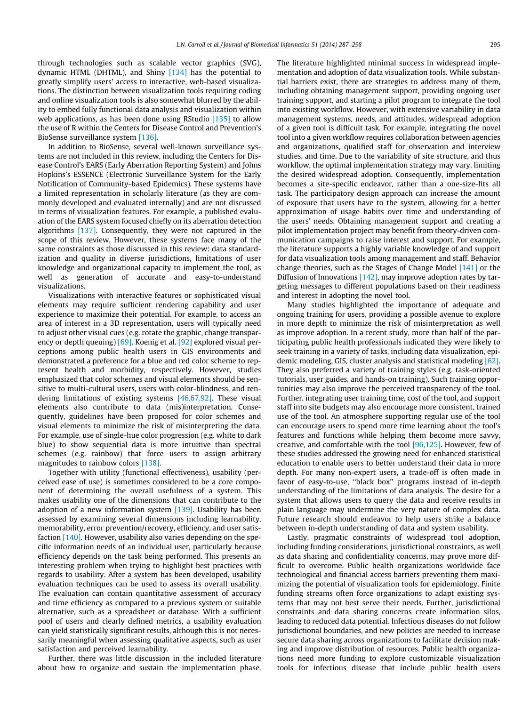through technologies such as scalable vector graphics (SVG), dynamic HTML (DHTML), and Shiny [\[134\]](#page-11-0) has the potential to greatly simplify users' access to interactive, web-based visualizations. The distinction between visualization tools requiring coding and online visualization tools is also somewhat blurred by the ability to embed fully functional data analysis and visualization within web applications, as has been done using RStudio [\[135\]](#page-11-0) to allow the use of R within the Centers for Disease Control and Prevention's BioSense surveillance system [\[136\]](#page-11-0).

In addition to BioSense, several well-known surveillance systems are not included in this review, including the Centers for Disease Control's EARS (Early Aberration Reporting System) and Johns Hopkins's ESSENCE (Electronic Surveillance System for the Early Notification of Community-based Epidemics). These systems have a limited representation in scholarly literature (as they are commonly developed and evaluated internally) and are not discussed in terms of visualization features. For example, a published evaluation of the EARS system focused chiefly on its aberration detection algorithms [\[137\].](#page-11-0) Consequently, they were not captured in the scope of this review. However, these systems face many of the same constraints as those discussed in this review: data standardization and quality in diverse jurisdictions, limitations of user knowledge and organizational capacity to implement the tool, as well as generation of accurate and easy-to-understand visualizations.

Visualizations with interactive features or sophisticated visual elements may require sufficient rendering capability and user experience to maximize their potential. For example, to access an area of interest in a 3D representation, users will typically need to adjust other visual cues (e.g. rotate the graphic, change transparency or depth queuing) [\[69\].](#page-10-0) Koenig et al. [\[92\]](#page-11-0) explored visual perceptions among public health users in GIS environments and demonstrated a preference for a blue and red color scheme to represent health and morbidity, respectively. However, studies emphasized that color schemes and visual elements should be sensitive to multi-cultural users, users with color-blindness, and rendering limitations of existing systems [\[46,67,92\].](#page-10-0) These visual elements also contribute to data (mis)interpretation. Consequently, guidelines have been proposed for color schemes and visual elements to minimize the risk of misinterpreting the data. For example, use of single-hue color progression (e.g. white to dark blue) to show sequential data is more intuitive than spectral schemes (e.g. rainbow) that force users to assign arbitrary magnitudes to rainbow colors [\[138\]](#page-11-0).

Together with utility (functional effectiveness), usability (perceived ease of use) is sometimes considered to be a core component of determining the overall usefulness of a system. This makes usability one of the dimensions that can contribute to the adoption of a new information system [\[139\].](#page-11-0) Usability has been assessed by examining several dimensions including learnability, memorability, error prevention/recovery, efficiency, and user satisfaction [\[140\].](#page-11-0) However, usability also varies depending on the specific information needs of an individual user, particularly because efficiency depends on the task being performed. This presents an interesting problem when trying to highlight best practices with regards to usability. After a system has been developed, usability evaluation techniques can be used to assess its overall usability. The evaluation can contain quantitative assessment of accuracy and time efficiency as compared to a previous system or suitable alternative, such as a spreadsheet or database. With a sufficient pool of users and clearly defined metrics, a usability evaluation can yield statistically significant results, although this is not necessarily meaningful when assessing qualitative aspects, such as user satisfaction and perceived learnability.

Further, there was little discussion in the included literature about how to organize and sustain the implementation phase. The literature highlighted minimal success in widespread implementation and adoption of data visualization tools. While substantial barriers exist, there are strategies to address many of them, including obtaining management support, providing ongoing user training support, and starting a pilot program to integrate the tool into existing workflow. However, with extensive variability in data management systems, needs, and attitudes, widespread adoption of a given tool is difficult task. For example, integrating the novel tool into a given workflow requires collaboration between agencies and organizations, qualified staff for observation and interview studies, and time. Due to the variability of site structure, and thus workflow, the optimal implementation strategy may vary, limiting the desired widespread adoption. Consequently, implementation becomes a site-specific endeavor, rather than a one-size-fits all task. The participatory design approach can increase the amount of exposure that users have to the system, allowing for a better approximation of usage habits over time and understanding of the users' needs. Obtaining management support and creating a pilot implementation project may benefit from theory-driven communication campaigns to raise interest and support. For example, the literature supports a highly variable knowledge of and support for data visualization tools among management and staff. Behavior change theories, such as the Stages of Change Model [\[141\]](#page-11-0) or the Diffusion of Innovations [\[142\]](#page-11-0), may improve adoption rates by targeting messages to different populations based on their readiness and interest in adopting the novel tool.

Many studies highlighted the importance of adequate and ongoing training for users, providing a possible avenue to explore in more depth to minimize the risk of misinterpretation as well as improve adoption. In a recent study, more than half of the participating public health professionals indicated they were likely to seek training in a variety of tasks, including data visualization, epidemic modeling, GIS, cluster analysis and statistical modeling [\[62\].](#page-10-0) They also preferred a variety of training styles (e.g. task-oriented tutorials, user guides, and hands-on training). Such training opportunities may also improve the perceived transparency of the tool. Further, integrating user training time, cost of the tool, and support staff into site budgets may also encourage more consistent, trained use of the tool. An atmosphere supporting regular use of the tool can encourage users to spend more time learning about the tool's features and functions while helping them become more savvy, creative, and comfortable with the tool [\[96,125\]](#page-11-0). However, few of these studies addressed the growing need for enhanced statistical education to enable users to better understand their data in more depth. For many non-expert users, a trade-off is often made in favor of easy-to-use, ''black box'' programs instead of in-depth understanding of the limitations of data analysis. The desire for a system that allows users to query the data and receive results in plain language may undermine the very nature of complex data. Future research should endeavor to help users strike a balance between in-depth understanding of data and system usability.

Lastly, pragmatic constraints of widespread tool adoption, including funding considerations, jurisdictional constraints, as well as data sharing and confidentiality concerns, may prove more difficult to overcome. Public health organizations worldwide face technological and financial access barriers preventing them maximizing the potential of visualization tools for epidemiology. Finite funding streams often force organizations to adapt existing systems that may not best serve their needs. Further, jurisdictional constraints and data sharing concerns create information silos, leading to reduced data potential. Infectious diseases do not follow jurisdictional boundaries, and new policies are needed to increase secure data sharing across organizations to facilitate decision making and improve distribution of resources. Public health organizations need more funding to explore customizable visualization tools for infectious disease that include public health users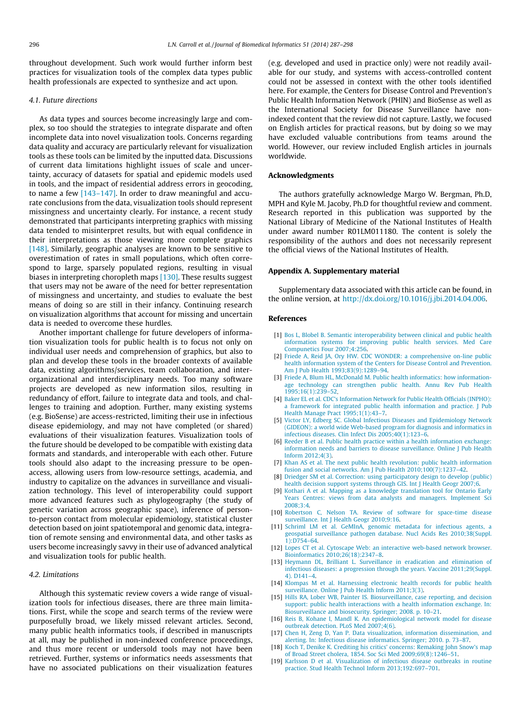<span id="page-9-0"></span>throughout development. Such work would further inform best practices for visualization tools of the complex data types public health professionals are expected to synthesize and act upon.

#### 4.1. Future directions

As data types and sources become increasingly large and complex, so too should the strategies to integrate disparate and often incomplete data into novel visualization tools. Concerns regarding data quality and accuracy are particularly relevant for visualization tools as these tools can be limited by the inputted data. Discussions of current data limitations highlight issues of scale and uncertainty, accuracy of datasets for spatial and epidemic models used in tools, and the impact of residential address errors in geocoding, to name a few [\[143–147\]](#page-11-0). In order to draw meaningful and accurate conclusions from the data, visualization tools should represent missingness and uncertainty clearly. For instance, a recent study demonstrated that participants interpreting graphics with missing data tended to misinterpret results, but with equal confidence in their interpretations as those viewing more complete graphics [\[148\].](#page-11-0) Similarly, geographic analyses are known to be sensitive to overestimation of rates in small populations, which often correspond to large, sparsely populated regions, resulting in visual biases in interpreting choropleth maps [\[130\]](#page-11-0). These results suggest that users may not be aware of the need for better representation of missingness and uncertainty, and studies to evaluate the best means of doing so are still in their infancy. Continuing research on visualization algorithms that account for missing and uncertain data is needed to overcome these hurdles.

Another important challenge for future developers of information visualization tools for public health is to focus not only on individual user needs and comprehension of graphics, but also to plan and develop these tools in the broader contexts of available data, existing algorithms/services, team collaboration, and interorganizational and interdisciplinary needs. Too many software projects are developed as new information silos, resulting in redundancy of effort, failure to integrate data and tools, and challenges to training and adoption. Further, many existing systems (e.g. BioSense) are access-restricted, limiting their use in infectious disease epidemiology, and may not have completed (or shared) evaluations of their visualization features. Visualization tools of the future should be developed to be compatible with existing data formats and standards, and interoperable with each other. Future tools should also adapt to the increasing pressure to be openaccess, allowing users from low-resource settings, academia, and industry to capitalize on the advances in surveillance and visualization technology. This level of interoperability could support more advanced features such as phylogeography (the study of genetic variation across geographic space), inference of personto-person contact from molecular epidemiology, statistical cluster detection based on joint spatiotemporal and genomic data, integration of remote sensing and environmental data, and other tasks as users become increasingly savvy in their use of advanced analytical and visualization tools for public health.

## 4.2. Limitations

Although this systematic review covers a wide range of visualization tools for infectious diseases, there are three main limitations. First, while the scope and search terms of the review were purposefully broad, we likely missed relevant articles. Second, many public health informatics tools, if described in manuscripts at all, may be published in non-indexed conference proceedings, and thus more recent or undersold tools may not have been retrieved. Further, systems or informatics needs assessments that have no associated publications on their visualization features (e.g. developed and used in practice only) were not readily available for our study, and systems with access-controlled content could not be assessed in context with the other tools identified here. For example, the Centers for Disease Control and Prevention's Public Health Information Network (PHIN) and BioSense as well as the International Society for Disease Surveillance have nonindexed content that the review did not capture. Lastly, we focused on English articles for practical reasons, but by doing so we may have excluded valuable contributions from teams around the world. However, our review included English articles in journals worldwide.

## Acknowledgments

The authors gratefully acknowledge Margo W. Bergman, Ph.D, MPH and Kyle M. Jacoby, Ph.D for thoughtful review and comment. Research reported in this publication was supported by the National Library of Medicine of the National Institutes of Health under award number R01LM011180. The content is solely the responsibility of the authors and does not necessarily represent the official views of the National Institutes of Health.

#### Appendix A. Supplementary material

Supplementary data associated with this article can be found, in the online version, at [http://dx.doi.org/10.1016/j.jbi.2014.04.006.](http://dx.doi.org/10.1016/j.jbi.2014.04.006)

#### References

- [1] [Bos L, Blobel B. Semantic interoperability between clinical and public health](http://refhub.elsevier.com/S1532-0464(14)00091-4/h0005) [information systems for improving public health services. Med Care](http://refhub.elsevier.com/S1532-0464(14)00091-4/h0005) [Compunetics Four 2007;4:256](http://refhub.elsevier.com/S1532-0464(14)00091-4/h0005).
- [2] [Friede A, Reid JA, Ory HW. CDC WONDER: a comprehensive on-line public](http://refhub.elsevier.com/S1532-0464(14)00091-4/h0010) [health information system of the Centers for Disease Control and Prevention.](http://refhub.elsevier.com/S1532-0464(14)00091-4/h0010) [Am J Pub Health 1993;83\(9\):1289–94](http://refhub.elsevier.com/S1532-0464(14)00091-4/h0010).
- [3] [Friede A, Blum HL, McDonald M. Public health informatics: how information](http://refhub.elsevier.com/S1532-0464(14)00091-4/h0015)[age technology can strengthen public health. Annu Rev Pub Health](http://refhub.elsevier.com/S1532-0464(14)00091-4/h0015) [1995;16\(1\):239–52.](http://refhub.elsevier.com/S1532-0464(14)00091-4/h0015)
- [4] [Baker EL et al. CDC's Information Network for Public Health Officials \(INPHO\):](http://refhub.elsevier.com/S1532-0464(14)00091-4/h0020) [a framework for integrated public health information and practice. J Pub](http://refhub.elsevier.com/S1532-0464(14)00091-4/h0020) [Health Manage Pract 1995;1\(1\):43–7](http://refhub.elsevier.com/S1532-0464(14)00091-4/h0020).
- [5] [Victor LY, Edberg SC. Global Infectious Diseases and Epidemiology Network](http://refhub.elsevier.com/S1532-0464(14)00091-4/h0025) [\(GIDEON\): a world wide Web-based program for diagnosis and informatics in](http://refhub.elsevier.com/S1532-0464(14)00091-4/h0025) [infectious diseases. Clin Infect Dis 2005;40\(1\):123–6](http://refhub.elsevier.com/S1532-0464(14)00091-4/h0025).
- [6] [Reeder B et al. Public health practice within a health information exchange:](http://refhub.elsevier.com/S1532-0464(14)00091-4/h0030) [information needs and barriers to disease surveillance. Online J Pub Health](http://refhub.elsevier.com/S1532-0464(14)00091-4/h0030) [Inform 2012;4\(3\).](http://refhub.elsevier.com/S1532-0464(14)00091-4/h0030)
- [7] [Khan AS et al. The next public health revolution: public health information](http://refhub.elsevier.com/S1532-0464(14)00091-4/h0035) [fusion and social networks. Am J Pub Health 2010;100\(7\):1237–42](http://refhub.elsevier.com/S1532-0464(14)00091-4/h0035).
- [8] [Driedger SM et al. Correction: using participatory design to develop \(public\)](http://refhub.elsevier.com/S1532-0464(14)00091-4/h0040) [health decision support systems through GIS. Int J Health Geogr 2007;6.](http://refhub.elsevier.com/S1532-0464(14)00091-4/h0040)
- [9] [Kothari A et al. Mapping as a knowledge translation tool for Ontario Early](http://refhub.elsevier.com/S1532-0464(14)00091-4/h0045) [Years Centres: views from data analysts and managers. Implement Sci](http://refhub.elsevier.com/S1532-0464(14)00091-4/h0045) [2008;3:4](http://refhub.elsevier.com/S1532-0464(14)00091-4/h0045).
- [10] [Robertson C, Nelson TA. Review of software for space-time disease](http://refhub.elsevier.com/S1532-0464(14)00091-4/h0050) [surveillance. Int J Health Geogr 2010;9:16.](http://refhub.elsevier.com/S1532-0464(14)00091-4/h0050)
- [11] [Schriml LM et al. GeMInA, genomic metadata for infectious agents, a](http://refhub.elsevier.com/S1532-0464(14)00091-4/h0055) [geospatial surveillance pathogen database. Nucl Acids Res 2010;38\(Suppl.](http://refhub.elsevier.com/S1532-0464(14)00091-4/h0055) [1\):D754–64.](http://refhub.elsevier.com/S1532-0464(14)00091-4/h0055)
- [12] [Lopes CT et al. Cytoscape Web: an interactive web-based network browser.](http://refhub.elsevier.com/S1532-0464(14)00091-4/h0060) [Bioinformatics 2010;26\(18\):2347–8](http://refhub.elsevier.com/S1532-0464(14)00091-4/h0060).
- [13] [Heymann DL, Brilliant L. Surveillance in eradication and elimination of](http://refhub.elsevier.com/S1532-0464(14)00091-4/h0065) [infectious diseases: a progression through the years. Vaccine 2011;29\(Suppl.](http://refhub.elsevier.com/S1532-0464(14)00091-4/h0065) [4\). D141–4](http://refhub.elsevier.com/S1532-0464(14)00091-4/h0065).
- [14] [Klompas M et al. Harnessing electronic health records for public health](http://refhub.elsevier.com/S1532-0464(14)00091-4/h0070) [surveillance. Online J Pub Health Inform 2011;3\(3\)](http://refhub.elsevier.com/S1532-0464(14)00091-4/h0070).
- [15] [Hills RA, Lober WB, Painter IS. Biosurveillance, case reporting, and decision](http://refhub.elsevier.com/S1532-0464(14)00091-4/h0745) [support: public health interactions with a health information exchange. In:](http://refhub.elsevier.com/S1532-0464(14)00091-4/h0745) [Biosurveillance and biosecurity. Springer; 2008. p. 10–21.](http://refhub.elsevier.com/S1532-0464(14)00091-4/h0745)
- [16] [Reis B, Kohane I, Mandl K. An epidemiological network model for disease](http://refhub.elsevier.com/S1532-0464(14)00091-4/h0080) [outbreak detection. PLoS Med 2007;4\(6\)](http://refhub.elsevier.com/S1532-0464(14)00091-4/h0080).
- [17] [Chen H, Zeng D, Yan P. Data visualization, information dissemination, and](http://refhub.elsevier.com/S1532-0464(14)00091-4/h0750) [alerting. In: Infectious disease informatics. Springer; 2010. p. 73–87](http://refhub.elsevier.com/S1532-0464(14)00091-4/h0750).
- [18] [Koch T, Denike K. Crediting his critics' concerns: Remaking John Snow's map](http://refhub.elsevier.com/S1532-0464(14)00091-4/h0090) [of Broad Street cholera, 1854. Soc Sci Med 2009;69\(8\):1246–51](http://refhub.elsevier.com/S1532-0464(14)00091-4/h0090).
- [19] [Karlsson D et al. Visualization of infectious disease outbreaks in routine](http://refhub.elsevier.com/S1532-0464(14)00091-4/h0095) [practice. Stud Health Technol Inform 2013;192:697–701.](http://refhub.elsevier.com/S1532-0464(14)00091-4/h0095)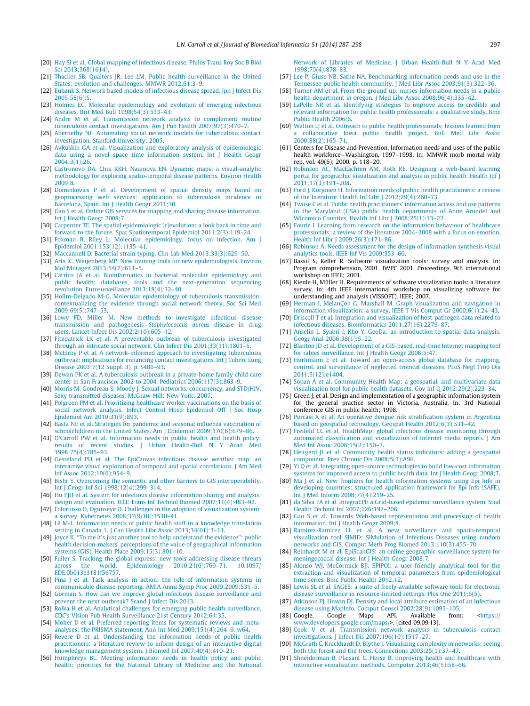- <span id="page-10-0"></span>[20] [Hay SI et al. Global mapping of infectious disease. Philos Trans Roy Soc B Biol](http://refhub.elsevier.com/S1532-0464(14)00091-4/h0100) [Sci 2013;368\(1614\).](http://refhub.elsevier.com/S1532-0464(14)00091-4/h0100)
- [21] [Thacker SB, Qualters JR, Lee LM. Public health surveillance in the United](http://refhub.elsevier.com/S1532-0464(14)00091-4/h0105) [States: evolution and challenges. MMWR 2012;61:3–9.](http://refhub.elsevier.com/S1532-0464(14)00091-4/h0105)
- [22] Eubank S. Network based models of infectious disease spread. Ipn I Infect Dis [2005;58\(6\):S.](http://refhub.elsevier.com/S1532-0464(14)00091-4/h0755)
- [23] [Holmes EC. Molecular epidemiology and evolution of emerging infectious](http://refhub.elsevier.com/S1532-0464(14)00091-4/h0115) [diseases. Brit Med Bull 1998;54\(3\):533–43.](http://refhub.elsevier.com/S1532-0464(14)00091-4/h0115)
- [24] [Andre M et al. Transmission network analysis to complement routine](http://refhub.elsevier.com/S1532-0464(14)00091-4/h0120) [tuberculosis contact investigations. Am J Pub Health 2007;97\(3\):470–7](http://refhub.elsevier.com/S1532-0464(14)00091-4/h0120).
- [25] [Abernethy NF. Automating social network models for tuberculosis contact](http://refhub.elsevier.com/S1532-0464(14)00091-4/h0760) [investigation. Stanford University; 2005.](http://refhub.elsevier.com/S1532-0464(14)00091-4/h0760)
- [26] [AvRuskin GA et al. Visualization and exploratory analysis of epidemiologic](http://refhub.elsevier.com/S1532-0464(14)00091-4/h0130) [data using a novel space time information system. Int J Health Geogr](http://refhub.elsevier.com/S1532-0464(14)00091-4/h0130) [2004;3\(1\):26](http://refhub.elsevier.com/S1532-0464(14)00091-4/h0130).
- [27] [Castronovo DA, Chui KKH, Naumova EN. Dynamic maps: a visual-analytic](http://refhub.elsevier.com/S1532-0464(14)00091-4/h0135) [methodology for exploring spatio-temporal disease patterns. Environ Health](http://refhub.elsevier.com/S1532-0464(14)00091-4/h0135) [2009;8.](http://refhub.elsevier.com/S1532-0464(14)00091-4/h0135)
- [28] [Dominkovics P et al. Development of spatial density maps based on](http://refhub.elsevier.com/S1532-0464(14)00091-4/h0140) [geoprocessing web services: application to tuberculosis incidence in](http://refhub.elsevier.com/S1532-0464(14)00091-4/h0140) [Barcelona, Spain. Int J Health Geogr 2011;10.](http://refhub.elsevier.com/S1532-0464(14)00091-4/h0140)
- [29] [Gao S et al. Online GIS services for mapping and sharing disease information.](http://refhub.elsevier.com/S1532-0464(14)00091-4/h0145) [Int J Health Geogr 2008;7.](http://refhub.elsevier.com/S1532-0464(14)00091-4/h0145)
- [30] [Carpenter TE. The spatial epidemiologic \(r\)evolution: a look back in time and](http://refhub.elsevier.com/S1532-0464(14)00091-4/h0150) [forward to the future. Spat Spatiotemporal Epidemiol 2011;2\(3\):119–24.](http://refhub.elsevier.com/S1532-0464(14)00091-4/h0150)
- [31] [Foxman B, Riley L. Molecular epidemiology: focus on infection. Am J](http://refhub.elsevier.com/S1532-0464(14)00091-4/h0155) [Epidemiol 2001;153\(12\):1135–41](http://refhub.elsevier.com/S1532-0464(14)00091-4/h0155).
- [32] [Maccannell D. Bacterial strain typing. Clin Lab Med 2013;33\(3\):629–50.](http://refhub.elsevier.com/S1532-0464(14)00091-4/h0160)
- [33] [Arts IC, Weijenberg MP. New training tools for new epidemiologists. Environ](http://refhub.elsevier.com/S1532-0464(14)00091-4/h0165) [Mol Mutagen 2013;54\(7\):611–5](http://refhub.elsevier.com/S1532-0464(14)00091-4/h0165).
- [34] [Carrico JA et al. Bioinformatics in bacterial molecular epidemiology and](http://refhub.elsevier.com/S1532-0464(14)00091-4/h0170) [public health: databases, tools and the next-generation sequencing](http://refhub.elsevier.com/S1532-0464(14)00091-4/h0170) [revolution. Eurosurveillance 2013;18\(4\):32–40.](http://refhub.elsevier.com/S1532-0464(14)00091-4/h0170)
- [35] [Hollm-Delgado M-G. Molecular epidemiology of tuberculosis transmission:](http://refhub.elsevier.com/S1532-0464(14)00091-4/h0175) [contextualizing the evidence through social network theory. Soc Sci Med](http://refhub.elsevier.com/S1532-0464(14)00091-4/h0175) [2009;69\(5\):747–53](http://refhub.elsevier.com/S1532-0464(14)00091-4/h0175).
- [36] [Lowy FD, Miller M. New methods to investigate infectious disease](http://refhub.elsevier.com/S1532-0464(14)00091-4/h0180) [transmission and pathogenesis—](http://refhub.elsevier.com/S1532-0464(14)00091-4/h0180)Staphylococcus aureus disease in drug [users. Lancet Infect Dis 2002;2\(10\):605–12.](http://refhub.elsevier.com/S1532-0464(14)00091-4/h0180)
- [37] [Fitzpatrick LK et al. A preventable outbreak of tuberculosis investigated](http://refhub.elsevier.com/S1532-0464(14)00091-4/h0185) [through an intricate social network. Clin Infect Dis 2001;33\(11\):1801–6.](http://refhub.elsevier.com/S1532-0464(14)00091-4/h0185)
- [38] [McElroy P et al. A network-informed approach to investigating tuberculosis](http://refhub.elsevier.com/S1532-0464(14)00091-4/h0190) [outbreak: implications for enhancing contact investigations. Int J Tuberc Lung](http://refhub.elsevier.com/S1532-0464(14)00091-4/h0190) [Disease 2003;7\(12 Suppl. 3\). p. S486–93](http://refhub.elsevier.com/S1532-0464(14)00091-4/h0190).
- [39] [Dewan PK et al. A tuberculosis outbreak in a private-home family child care](http://refhub.elsevier.com/S1532-0464(14)00091-4/h0195) [center in San Francisco, 2002 to 2004. Pediatrics 2006;117\(3\):863–9](http://refhub.elsevier.com/S1532-0464(14)00091-4/h0195).
- [40] [Morris M, Goodreau S, Moody J. Sexual networks, concurrency, and STD/HIV.](http://refhub.elsevier.com/S1532-0464(14)00091-4/h0765) [Sexy transmitted diseases. McGraw-Hill: New York; 2007.](http://refhub.elsevier.com/S1532-0464(14)00091-4/h0765)
- [41] [Polgreen PM et al. Prioritizing healthcare worker vaccinations on the basis of](http://refhub.elsevier.com/S1532-0464(14)00091-4/h0205) [social network analysis. Infect Control Hosp Epidemiol Off J Soc Hosp](http://refhub.elsevier.com/S1532-0464(14)00091-4/h0205) [Epidemiol Am 2010;31\(9\):893.](http://refhub.elsevier.com/S1532-0464(14)00091-4/h0205)
- [42] [Basta NE et al. Strategies for pandemic and seasonal influenza vaccination of](http://refhub.elsevier.com/S1532-0464(14)00091-4/h0210) [schoolchildren in the United States. Am J Epidemiol 2009;170\(6\):679–86](http://refhub.elsevier.com/S1532-0464(14)00091-4/h0210).
- [43] [O'Carroll PW et al. Information needs in public health and health policy:](http://refhub.elsevier.com/S1532-0464(14)00091-4/h0215) [results of recent studies. J Urban Health-Bull N Y Acad Med](http://refhub.elsevier.com/S1532-0464(14)00091-4/h0215) [1998;75\(4\):785–93](http://refhub.elsevier.com/S1532-0464(14)00091-4/h0215).
- [44] [Gesteland PH et al. The EpiCanvas infectious disease weather map: an](http://refhub.elsevier.com/S1532-0464(14)00091-4/h0220) [interactive visual exploration of temporal and spatial correlations. J Am Med](http://refhub.elsevier.com/S1532-0464(14)00091-4/h0220) [Inf Assoc 2012;19\(6\):954–9.](http://refhub.elsevier.com/S1532-0464(14)00091-4/h0220)
- [45] [Bishr Y. Overcoming the semantic and other barriers to GIS interoperability.](http://refhub.elsevier.com/S1532-0464(14)00091-4/h0225) [Int J Geogr Inf Sci 1998;12\(4\):299–314.](http://refhub.elsevier.com/S1532-0464(14)00091-4/h0225)
- [46] [Hu PJH et al. System for infectious disease information sharing and analysis:](http://refhub.elsevier.com/S1532-0464(14)00091-4/h0230) [design and evaluation. IEEE Trans Inf Technol Biomed 2007;11\(4\):483–92](http://refhub.elsevier.com/S1532-0464(14)00091-4/h0230).
- [47] [Folorunso O, Ogunseye O. Challenges in the adoption of visualization system:](http://refhub.elsevier.com/S1532-0464(14)00091-4/h0235) [a survey. Kybernetes 2008;37\(9/10\):1530–41](http://refhub.elsevier.com/S1532-0464(14)00091-4/h0235).
- [48] [Lê M-L. Information needs of public health staff in a knowledge translation](http://refhub.elsevier.com/S1532-0464(14)00091-4/h0240) [setting in Canada 1. J Can Health Libr Assoc 2013;34\(01\):3–11.](http://refhub.elsevier.com/S1532-0464(14)00091-4/h0240)
- [49] Joyce K. "To me it's just another tool to help understand the evidence": public [health decision-makers' perceptions of the value of geographical information](http://refhub.elsevier.com/S1532-0464(14)00091-4/h0245) [systems \(GIS\). Health Place 2009;15\(3\):801–10](http://refhub.elsevier.com/S1532-0464(14)00091-4/h0245).
- [50] [Fuller S. Tracking the global express: new tools addressing disease threats](http://refhub.elsevier.com/S1532-0464(14)00091-4/h0250) [across the world. Epidemiology 2010;21\(6\):769–71. 10.1097/](http://refhub.elsevier.com/S1532-0464(14)00091-4/h0250) [EDE.0b013e3181f56757.](http://refhub.elsevier.com/S1532-0464(14)00091-4/h0250)
- [51] [Pina J et al. Task analysis in action: the role of information systems in](http://refhub.elsevier.com/S1532-0464(14)00091-4/h0255) [communicable disease reporting. AMIA Annu Symp Proc 2009;2009:531–5.](http://refhub.elsevier.com/S1532-0464(14)00091-4/h0255)
- [52] [Gorman S. How can we improve global infectious disease surveillance and](http://refhub.elsevier.com/S1532-0464(14)00091-4/h0260) [prevent the next outbreak? Scand J Infect Dis 2013](http://refhub.elsevier.com/S1532-0464(14)00091-4/h0260).
- [53] [Rolka H et al. Analytical challenges for emerging public health surveillance.](http://refhub.elsevier.com/S1532-0464(14)00091-4/h0265) [CDC's Vision Pub Health Surveillance 21st Century 2012;61:35.](http://refhub.elsevier.com/S1532-0464(14)00091-4/h0265)
- [54] [Moher D et al. Preferred reporting items for systematic reviews and meta](http://refhub.elsevier.com/S1532-0464(14)00091-4/h0770)[analyses: the PRISMA statement. Ann Int Med 2009;151\(4\):264–9. w64.](http://refhub.elsevier.com/S1532-0464(14)00091-4/h0770)
- [55] [Revere D et al. Understanding the information needs of public health](http://refhub.elsevier.com/S1532-0464(14)00091-4/h0275) [practitioners: a literature review to inform design of an interactive digital](http://refhub.elsevier.com/S1532-0464(14)00091-4/h0275) [knowledge management system. J Biomed Inf 2007;40\(4\):410–21.](http://refhub.elsevier.com/S1532-0464(14)00091-4/h0275)
- [56] [Humphreys BL. Meeting information needs in health policy and public](http://refhub.elsevier.com/S1532-0464(14)00091-4/h0280) [health: priorities for the National Library of Medicine and the National](http://refhub.elsevier.com/S1532-0464(14)00091-4/h0280)

[Network of Libraries of Medicine. J Urban Health-Bull N Y Acad Med](http://refhub.elsevier.com/S1532-0464(14)00091-4/h0280) [1998;75\(4\):878–83](http://refhub.elsevier.com/S1532-0464(14)00091-4/h0280).

- [57] [Lee P, Giuse NB, Sathe NA. Benchmarking information needs and use in the](http://refhub.elsevier.com/S1532-0464(14)00091-4/h0285) [Tennessee public health community. J Med Libr Assoc 2003;91\(3\):322–36.](http://refhub.elsevier.com/S1532-0464(14)00091-4/h0285)
- [58] [Turner AM et al. From the ground up: nurses information needs in a public](http://refhub.elsevier.com/S1532-0464(14)00091-4/h0290) [health department in oregon. J Med Libr Assoc 2008;96\(4\):335–42.](http://refhub.elsevier.com/S1532-0464(14)00091-4/h0290)
- [59] [LaPelle NR et al. Identifying strategies to improve access to credible and](http://refhub.elsevier.com/S1532-0464(14)00091-4/h0295) [relevant information for public health professionals: a qualitative study. Bmc](http://refhub.elsevier.com/S1532-0464(14)00091-4/h0295) [Public Health 2006;6](http://refhub.elsevier.com/S1532-0464(14)00091-4/h0295).
- [60] [Walton LJ et al. Outreach to public health professionals: lessons learned from](http://refhub.elsevier.com/S1532-0464(14)00091-4/h0300) [a collaborative Iowa public health project. Bull Med Libr Assoc](http://refhub.elsevier.com/S1532-0464(14)00091-4/h0300) [2000;88\(2\):165–71](http://refhub.elsevier.com/S1532-0464(14)00091-4/h0300).
- [61] Centers for Disease and Prevention, Information needs and uses of the public health workforce—Washington, 1997–1998. In: MMWR morb mortal wkly rep, vol. 49(6); 2000. p. 118–20.
- [62] [Robinson AC, MacEachren AM, Roth RE. Designing a web-based learning](http://refhub.elsevier.com/S1532-0464(14)00091-4/h0310) [portal for geographic visualization and analysis in public health. Health Inf J](http://refhub.elsevier.com/S1532-0464(14)00091-4/h0310) [2011;17\(3\):191–208](http://refhub.elsevier.com/S1532-0464(14)00091-4/h0310).
- [63] [Ford J, Korjonen H. Information needs of public health practitioners: a review](http://refhub.elsevier.com/S1532-0464(14)00091-4/h0315) [of the literature. Health Inf Libr J 2012;29\(4\):260–73.](http://refhub.elsevier.com/S1532-0464(14)00091-4/h0315)
- [64] [Twose C et al. Public health practitioners' information access and use patterns](http://refhub.elsevier.com/S1532-0464(14)00091-4/h0320) [in the Maryland \(USA\) public health departments of Anne Arundel and](http://refhub.elsevier.com/S1532-0464(14)00091-4/h0320) [Wicomico Counties. Health Inf Libr J 2008;25\(1\):13–22.](http://refhub.elsevier.com/S1532-0464(14)00091-4/h0320)
- [65] [Fourie I. Learning from research on the information behaviour of healthcare](http://refhub.elsevier.com/S1532-0464(14)00091-4/h0325) [professionals: a review of the literature 2004–2008 with a focus on emotion.](http://refhub.elsevier.com/S1532-0464(14)00091-4/h0325) [Health Inf Libr J 2009;26\(3\):171–86.](http://refhub.elsevier.com/S1532-0464(14)00091-4/h0325)
- [66] [Robinson A. Needs assessment for the design of information synthesis visual](http://refhub.elsevier.com/S1532-0464(14)00091-4/h0330) [analytics tools. IEEE Inf Vis 2009:353–60.](http://refhub.elsevier.com/S1532-0464(14)00091-4/h0330)
- Bassil S, Keller R. Software visualization tools: survey and analysis. In: Program comprehension, 2001. IWPC 2001. Proceedings. 9th international workshop on IEEE; 2001.
- [68] Kienle H, Müller H. Requirements of software visualization tools: a literature survey. In: 4th IEEE international workshop on visualizing software for understanding and analysis (VISSOFT). IEEE; 2007.
- [69] [Herman I, MelanÇon G, Marshall M. Graph visualization and navigation in](http://refhub.elsevier.com/S1532-0464(14)00091-4/h0345) [information visualization: a survey. IEEE T Vis Comput Gr 2000;6\(1\):24–43.](http://refhub.elsevier.com/S1532-0464(14)00091-4/h0345)
- [70] [Driscoll T et al. Integration and visualization of host-pathogen data related to](http://refhub.elsevier.com/S1532-0464(14)00091-4/h0350) [infectious diseases. Bioinformatics 2011;27\(16\):2279–87](http://refhub.elsevier.com/S1532-0464(14)00091-4/h0350).
- [71] [Anselin L, Syabri I, Kho Y. GeoDa: an introduction to spatial data analysis.](http://refhub.elsevier.com/S1532-0464(14)00091-4/h0355) [Geogr Anal 2006;38\(1\):5–22](http://refhub.elsevier.com/S1532-0464(14)00091-4/h0355).
- [72] [Blanton JD et al. Development of a GIS-based, real-time Internet mapping tool](http://refhub.elsevier.com/S1532-0464(14)00091-4/h0360) [for rabies surveillance. Int J Health Geogr 2006;5:47.](http://refhub.elsevier.com/S1532-0464(14)00091-4/h0360)
- [73] [Hurlimann E et al. Toward an open-access global database for mapping,](http://refhub.elsevier.com/S1532-0464(14)00091-4/h0365) [control, and surveillance of neglected tropical diseases. PLoS Negl Trop Dis](http://refhub.elsevier.com/S1532-0464(14)00091-4/h0365) [2011;5\(12\):e1404](http://refhub.elsevier.com/S1532-0464(14)00091-4/h0365).
- [74] [Sopan A et al. Community Health Map: a geospatial. and multivariate data](http://refhub.elsevier.com/S1532-0464(14)00091-4/h0370) [visualization tool for public health datasets. Gov Inf Q 2012;29\(2\):223–34](http://refhub.elsevier.com/S1532-0464(14)00091-4/h0370).
- [75] Green J, et al. Design and implementation of a geographic information system for the general practice sector in Victoria, Australia. In: 3rd National conference GIS in public health; 1998.
- [76] [Porcasi X et al. An operative dengue risk stratification system in Argentina](http://refhub.elsevier.com/S1532-0464(14)00091-4/h0380) [based on geospatial technology. Geospat Health 2012;6\(3\):S31–42](http://refhub.elsevier.com/S1532-0464(14)00091-4/h0380).
- [77] [Freifeld CC et al. HealthMap: global infectious disease monitoring through](http://refhub.elsevier.com/S1532-0464(14)00091-4/h0385) [automated classification and visualization of Internet media reports. J Am](http://refhub.elsevier.com/S1532-0464(14)00091-4/h0385) [Med Inf Assoc 2008;15\(2\):150–7](http://refhub.elsevier.com/S1532-0464(14)00091-4/h0385).
- [78] [Heitgerd JL et al. Community health status indicators: adding a geospatial](http://refhub.elsevier.com/S1532-0464(14)00091-4/h0390) [component. Prev Chronic Dis 2008;5\(3\):A96.](http://refhub.elsevier.com/S1532-0464(14)00091-4/h0390)
- [79] [Yi Q et al. Integrating open-source technologies to build low-cost information](http://refhub.elsevier.com/S1532-0464(14)00091-4/h0395) [systems for improved access to public health data. Int J Health Geogr 2008;7.](http://refhub.elsevier.com/S1532-0464(14)00091-4/h0395) [80] [Ma J et al. New frontiers for health information systems using Epi Info in](http://refhub.elsevier.com/S1532-0464(14)00091-4/h0400)
- [developing countries: structured application framework for Epi Info \(SAFE\).](http://refhub.elsevier.com/S1532-0464(14)00091-4/h0400) [Int J Med Inform 2008;77\(4\):219–25](http://refhub.elsevier.com/S1532-0464(14)00091-4/h0400).
- [81] [da Silva FA et al. IntegraEPI: a Grid-based epidemic surveillance system. Stud](http://refhub.elsevier.com/S1532-0464(14)00091-4/h0405) [Health Technol Inf 2007;126:197–206.](http://refhub.elsevier.com/S1532-0464(14)00091-4/h0405)
- [82] [Gao S et al. Towards Web-based representation and processing of health](http://refhub.elsevier.com/S1532-0464(14)00091-4/h0410) [information. Int J Health Geogr 2009;8](http://refhub.elsevier.com/S1532-0464(14)00091-4/h0410).
- [83] [Ramirez-Ramirez LL et al. A new surveillance and spatio-temporal](http://refhub.elsevier.com/S1532-0464(14)00091-4/h0415) [visualization tool SIMID: SIMulation of Infectious Diseases using random](http://refhub.elsevier.com/S1532-0464(14)00091-4/h0415) [networks and GIS. Comput Meth Prog Biomed 2013;110\(3\):455–70.](http://refhub.elsevier.com/S1532-0464(14)00091-4/h0415)
- [84] [Reinhardt M et al. EpiScanGIS: an online geographic surveillance system for](http://refhub.elsevier.com/S1532-0464(14)00091-4/h0420) [meningococcal disease. Int J Health Geogr 2008;7](http://refhub.elsevier.com/S1532-0464(14)00091-4/h0420).
- [85] [Alonso WJ, McCormick BJJ. EPIPOI: a user-friendly analytical tool for the](http://refhub.elsevier.com/S1532-0464(14)00091-4/h0425) [extraction and visualization of temporal parameters from epidemiological](http://refhub.elsevier.com/S1532-0464(14)00091-4/h0425) [time series. Bmc Public Health 2012;12.](http://refhub.elsevier.com/S1532-0464(14)00091-4/h0425)
- [86] [Lewis SL et al. SAGES: a suite of freely-available software tools for electronic](http://refhub.elsevier.com/S1532-0464(14)00091-4/h0430) [disease surveillance in resource-limited settings. Plos One 2011;6\(5\)](http://refhub.elsevier.com/S1532-0464(14)00091-4/h0430).
- [87] [Atkinson PJ, Unwin DJ. Density and local attribute estimation of an infectious](http://refhub.elsevier.com/S1532-0464(14)00091-4/h0435) [disease using MapInfo. Comput Geosci 2002;28\(9\):1095–105](http://refhub.elsevier.com/S1532-0464(14)00091-4/h0435).
- [88] Google. Google Maps API. Available from: <[https://](https://www.developers.google.com/maps/) [www.developers.google.com/maps/](https://www.developers.google.com/maps/)>, [cited 09.09.13].
- [89] [Cook V et al. Transmission network analysis in tuberculosis contact](http://refhub.elsevier.com/S1532-0464(14)00091-4/h0445) [investigations. J Infect Dis 2007;196\(10\):1517–27.](http://refhub.elsevier.com/S1532-0464(14)00091-4/h0445) [90] [McGrath C, Krackhardt D, Blythe J. Visualizing complexity in networks: seeing](http://refhub.elsevier.com/S1532-0464(14)00091-4/h0450)
- [both the forest and the trees. Connections 2003;25\(1\):37–47.](http://refhub.elsevier.com/S1532-0464(14)00091-4/h0450)
- [91] [Shneiderman B, Plaisant C, Hesse B. Improving health and healthcare with](http://refhub.elsevier.com/S1532-0464(14)00091-4/h0455) [interactive visualization methods. Computer 2013;46\(5\):58–66.](http://refhub.elsevier.com/S1532-0464(14)00091-4/h0455)